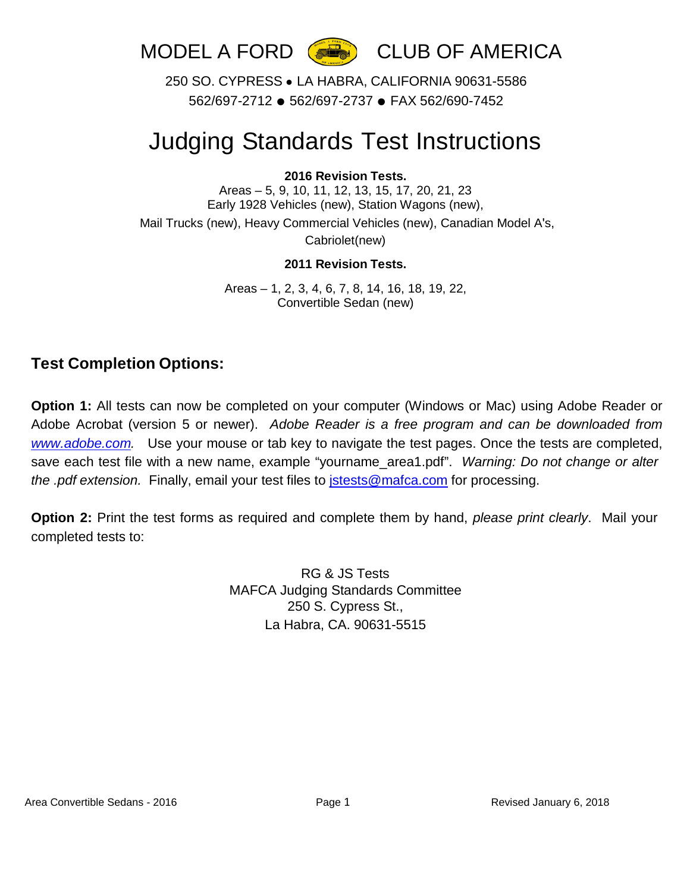

250 SO. CYPRESS ● LA HABRA, CALIFORNIA 90631-5586 562/697-2712 ● 562/697-2737 ● FAX 562/690-7452

# Judging Standards Test Instructions

#### **2016 Revision Tests.**

Areas – 5, 9, 10, 11, 12, 13, 15, 17, 20, 21, 23 Early 1928 Vehicles (new), Station Wagons (new),

Mail Trucks (new), Heavy Commercial Vehicles (new), Canadian Model A's, Cabriolet(new)

#### **2011 Revision Tests.**

Areas – 1, 2, 3, 4, 6, 7, 8, 14, 16, 18, 19, 22, Convertible Sedan (new)

### **Test Completion Options:**

**Option 1:** All tests can now be completed on your computer (Windows or Mac) using Adobe Reader or Adobe Acrobat (version 5 or newer). *Adobe Reader is a free program and can be downloaded from [www.adobe.com.](http://www.adobe.com/)* Use your mouse or tab key to navigate the test pages. Once the tests are completed, save each test file with a new name, example "yourname\_area1.pdf". *Warning: Do not change or alter the .pdf extension.* Finally, email your test files to [jstests@mafca.com](mailto:jstests@mafca.com) for processing.

**Option 2:** Print the test forms as required and complete them by hand, *please print clearly*. Mail your completed tests to:

> RG & JS Tests MAFCA Judging Standards Committee 250 S. Cypress St., La Habra, CA. 90631-5515